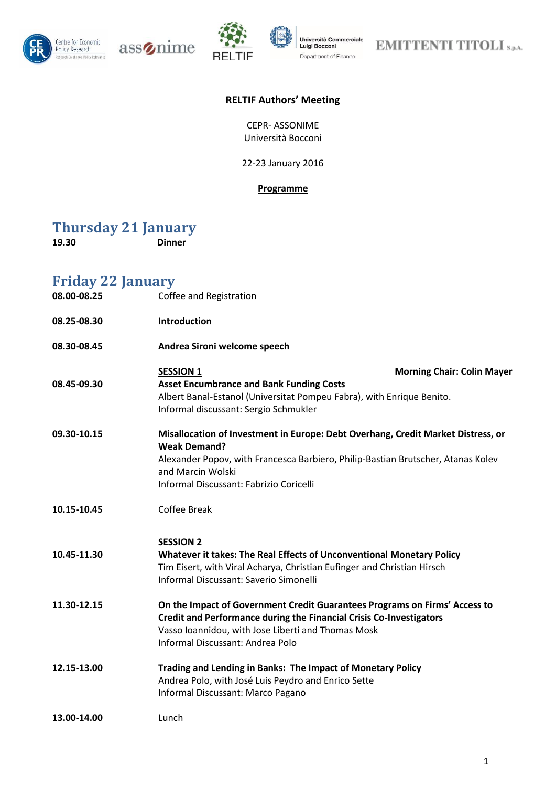

 $\text{ass}\text{\o}$ nime



Università Commerciale<br>Luigi Bocconi Department of Finance

**EMITTENTI TITOLI** S.p.A.

### **RELTIF Authors' Meeting**

CEPR- ASSONIME Università Bocconi

22-23 January 2016

#### **Programme**

## **Thursday 21 January**

**19.30 Dinner**

| <b>Friday 22 January</b><br>08.00-08.25<br>Coffee and Registration |                                                                                                                                                                                                                                                                    |  |
|--------------------------------------------------------------------|--------------------------------------------------------------------------------------------------------------------------------------------------------------------------------------------------------------------------------------------------------------------|--|
| 08.25-08.30                                                        | <b>Introduction</b>                                                                                                                                                                                                                                                |  |
| 08.30-08.45                                                        | Andrea Sironi welcome speech                                                                                                                                                                                                                                       |  |
| 08.45-09.30                                                        | <b>Morning Chair: Colin Mayer</b><br><b>SESSION 1</b><br><b>Asset Encumbrance and Bank Funding Costs</b><br>Albert Banal-Estanol (Universitat Pompeu Fabra), with Enrique Benito.<br>Informal discussant: Sergio Schmukler                                         |  |
| 09.30-10.15                                                        | Misallocation of Investment in Europe: Debt Overhang, Credit Market Distress, or<br><b>Weak Demand?</b><br>Alexander Popov, with Francesca Barbiero, Philip-Bastian Brutscher, Atanas Kolev<br>and Marcin Wolski<br><b>Informal Discussant: Fabrizio Coricelli</b> |  |
| 10.15-10.45                                                        | <b>Coffee Break</b>                                                                                                                                                                                                                                                |  |
| 10.45-11.30                                                        | <b>SESSION 2</b><br>Whatever it takes: The Real Effects of Unconventional Monetary Policy<br>Tim Eisert, with Viral Acharya, Christian Eufinger and Christian Hirsch<br><b>Informal Discussant: Saverio Simonelli</b>                                              |  |
| 11.30-12.15                                                        | On the Impact of Government Credit Guarantees Programs on Firms' Access to<br>Credit and Performance during the Financial Crisis Co-Investigators<br>Vasso Ioannidou, with Jose Liberti and Thomas Mosk<br><b>Informal Discussant: Andrea Polo</b>                 |  |
| 12.15-13.00                                                        | Trading and Lending in Banks: The Impact of Monetary Policy<br>Andrea Polo, with José Luis Peydro and Enrico Sette<br>Informal Discussant: Marco Pagano                                                                                                            |  |
| 13.00-14.00                                                        | Lunch                                                                                                                                                                                                                                                              |  |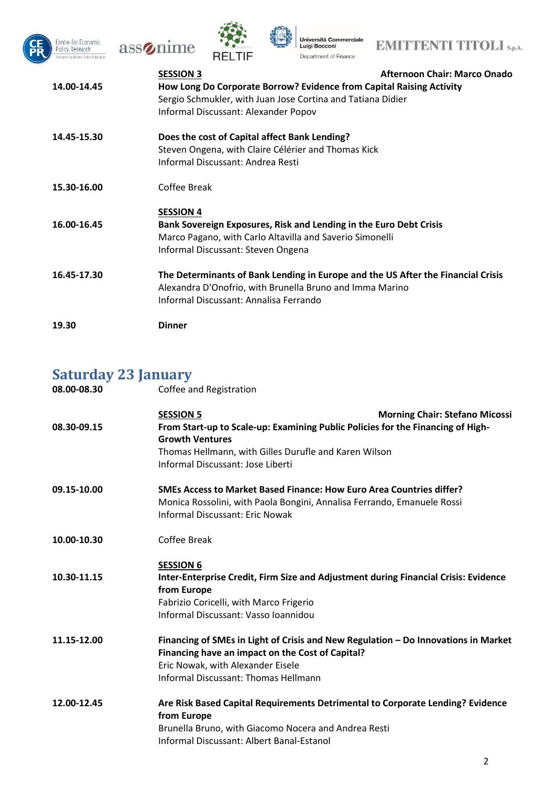







| 14.00-14.45 | <b>SESSION 3</b><br>How Long Do Corporate Borrow? Evidence from Capital Raising Activity<br>Sergio Schmukler, with Juan Jose Cortina and Tatiana Didier<br>Informal Discussant: Alexander Popov | <b>Afternoon Chair: Marco Onado</b> |
|-------------|-------------------------------------------------------------------------------------------------------------------------------------------------------------------------------------------------|-------------------------------------|
| 14.45-15.30 | Does the cost of Capital affect Bank Lending?<br>Steven Ongena, with Claire Célérier and Thomas Kick<br>Informal Discussant: Andrea Resti                                                       |                                     |
| 15.30-16.00 | Coffee Break                                                                                                                                                                                    |                                     |
|             | <b>SESSION 4</b>                                                                                                                                                                                |                                     |
| 16.00-16.45 | Bank Sovereign Exposures, Risk and Lending in the Euro Debt Crisis<br>Marco Pagano, with Carlo Altavilla and Saverio Simonelli<br>Informal Discussant: Steven Ongena                            |                                     |
| 16.45-17.30 | The Determinants of Bank Lending in Europe and the US After the Financial Crisis<br>Alexandra D'Onofrio, with Brunella Bruno and Imma Marino<br>Informal Discussant: Annalisa Ferrando          |                                     |
| 19.30       | <b>Dinner</b>                                                                                                                                                                                   |                                     |

# **Saturday 23 January**

| 08.00-08.30 | Coffee and Registration                                                             |
|-------------|-------------------------------------------------------------------------------------|
|             | <b>SESSION 5</b><br><b>Morning Chair: Stefano Micossi</b>                           |
| 08.30-09.15 | From Start-up to Scale-up: Examining Public Policies for the Financing of High-     |
|             | <b>Growth Ventures</b><br>Thomas Hellmann, with Gilles Durufle and Karen Wilson     |
|             | Informal Discussant: Jose Liberti                                                   |
| 09.15-10.00 | SMEs Access to Market Based Finance: How Euro Area Countries differ?                |
|             | Monica Rossolini, with Paola Bongini, Annalisa Ferrando, Emanuele Rossi             |
|             | <b>Informal Discussant: Eric Nowak</b>                                              |
| 10.00-10.30 | Coffee Break                                                                        |
|             | <b>SESSION 6</b>                                                                    |
| 10.30-11.15 | Inter-Enterprise Credit, Firm Size and Adjustment during Financial Crisis: Evidence |
|             | from Europe                                                                         |
|             | Fabrizio Coricelli, with Marco Frigerio<br>Informal Discussant: Vasso Ioannidou     |
|             |                                                                                     |
| 11.15-12.00 | Financing of SMEs in Light of Crisis and New Regulation - Do Innovations in Market  |
|             | Financing have an impact on the Cost of Capital?                                    |
|             | Eric Nowak, with Alexander Eisele                                                   |
|             | <b>Informal Discussant: Thomas Hellmann</b>                                         |
| 12.00-12.45 | Are Risk Based Capital Requirements Detrimental to Corporate Lending? Evidence      |
|             | from Europe<br>Brunella Bruno, with Giacomo Nocera and Andrea Resti                 |
|             | <b>Informal Discussant: Albert Banal-Estanol</b>                                    |
|             |                                                                                     |